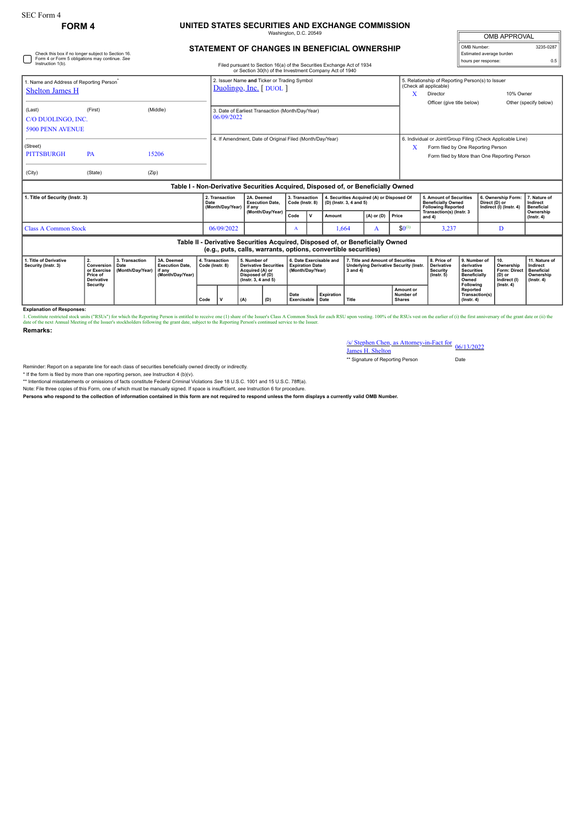## SEC Form 4

## **FORM 4 UNITED STATES SECURITIES AND EXCHANGE COMMISSION** Washington, D.C. 20549

| <b>OMB APPROVAL</b>      |           |
|--------------------------|-----------|
| OMB Number:              | 3235-0287 |
| Estimated average burden |           |
| hours per response:      |           |

| STATEMENT OF CHANGES IN BENEFICIAL OWNERSHIP |  |
|----------------------------------------------|--|

| Check this box if no longer subject to Section 16.<br>Form 4 or Form 5 obligations may continue. See<br>Instruction 1(b). | Filed pursuant to Section 16(a) of the Securities Exchange Act of 1934<br>or Section 30(h) of the Investment Company Act of 1940 |                                            |                                                                                  |                                   |                                                          |                                                                                                           |                                                                | Estimated average burden<br>hours per response:                       | 0.5                                       |                                                                                                    |                                                                      |                                                                               |                                                                                                                                                   |                                                                                                                                        |                                                                                       |                                                                                 |                                                                                |
|---------------------------------------------------------------------------------------------------------------------------|----------------------------------------------------------------------------------------------------------------------------------|--------------------------------------------|----------------------------------------------------------------------------------|-----------------------------------|----------------------------------------------------------|-----------------------------------------------------------------------------------------------------------|----------------------------------------------------------------|-----------------------------------------------------------------------|-------------------------------------------|----------------------------------------------------------------------------------------------------|----------------------------------------------------------------------|-------------------------------------------------------------------------------|---------------------------------------------------------------------------------------------------------------------------------------------------|----------------------------------------------------------------------------------------------------------------------------------------|---------------------------------------------------------------------------------------|---------------------------------------------------------------------------------|--------------------------------------------------------------------------------|
| 1. Name and Address of Reporting Person<br><b>Shelton James H</b>                                                         |                                                                                                                                  |                                            |                                                                                  |                                   |                                                          | 2. Issuer Name and Ticker or Trading Symbol<br>Duolingo, Inc. [DUOL]                                      |                                                                |                                                                       |                                           |                                                                                                    |                                                                      |                                                                               |                                                                                                                                                   | 5. Relationship of Reporting Person(s) to Issuer<br>(Check all applicable)<br>10% Owner<br>X<br>Director<br>Officer (give title below) |                                                                                       |                                                                                 |                                                                                |
| (Last)<br><b>5900 PENN AVENUE</b>                                                                                         | (Middle)<br>(First)<br>C/O DUOLINGO, INC.                                                                                        |                                            |                                                                                  |                                   |                                                          |                                                                                                           | 3. Date of Earliest Transaction (Month/Day/Year)<br>06/09/2022 |                                                                       |                                           |                                                                                                    |                                                                      |                                                                               |                                                                                                                                                   |                                                                                                                                        |                                                                                       |                                                                                 | Other (specify below)                                                          |
| (Street)<br><b>PITTSBURGH</b><br>(City)                                                                                   | <b>PA</b><br>(State)                                                                                                             | (Zip)                                      | 15206                                                                            |                                   | 4. If Amendment, Date of Original Filed (Month/Day/Year) |                                                                                                           |                                                                |                                                                       |                                           |                                                                                                    |                                                                      | x                                                                             | 6. Individual or Joint/Group Filing (Check Applicable Line)<br>Form filed by One Reporting Person<br>Form filed by More than One Reporting Person |                                                                                                                                        |                                                                                       |                                                                                 |                                                                                |
|                                                                                                                           |                                                                                                                                  |                                            | Table I - Non-Derivative Securities Acquired, Disposed of, or Beneficially Owned |                                   |                                                          |                                                                                                           |                                                                |                                                                       |                                           |                                                                                                    |                                                                      |                                                                               |                                                                                                                                                   |                                                                                                                                        |                                                                                       |                                                                                 |                                                                                |
| 1. Title of Security (Instr. 3)                                                                                           |                                                                                                                                  |                                            |                                                                                  | Date                              | 2. Transaction<br>(Month/Day/Year)                       | if anv                                                                                                    | 2A. Deemed<br><b>Execution Date.</b>                           |                                                                       | 3. Transaction<br>Code (Instr. 8)         |                                                                                                    | 4. Securities Acquired (A) or Disposed Of<br>(D) (Instr. 3, 4 and 5) |                                                                               |                                                                                                                                                   | 5. Amount of Securities<br><b>Beneficially Owned</b><br><b>Following Reported</b>                                                      |                                                                                       | 6. Ownership Form:<br>Direct (D) or<br>Indirect (I) (Instr. 4)                  | 7. Nature of<br>Indirect<br><b>Beneficial</b><br>Ownership<br>$($ Instr. 4 $)$ |
|                                                                                                                           |                                                                                                                                  |                                            |                                                                                  |                                   |                                                          |                                                                                                           | (Month/Day/Year)                                               |                                                                       | $\mathsf{v}$                              | Amount                                                                                             | $(A)$ or $(D)$                                                       |                                                                               | Price                                                                                                                                             | Transaction(s) (Instr. 3<br>and 4)                                                                                                     |                                                                                       |                                                                                 |                                                                                |
| <b>Class A Common Stock</b>                                                                                               |                                                                                                                                  |                                            |                                                                                  |                                   | 06/09/2022                                               |                                                                                                           | A                                                              |                                                                       | 1,664                                     |                                                                                                    | A                                                                    | $$0^{(1)}$$                                                                   | 3,237                                                                                                                                             |                                                                                                                                        | D                                                                                     |                                                                                 |                                                                                |
|                                                                                                                           |                                                                                                                                  |                                            |                                                                                  |                                   |                                                          |                                                                                                           | (e.g., puts, calls, warrants, options, convertible securities) |                                                                       |                                           |                                                                                                    |                                                                      | Table II - Derivative Securities Acquired, Disposed of, or Beneficially Owned |                                                                                                                                                   |                                                                                                                                        |                                                                                       |                                                                                 |                                                                                |
| 1. Title of Derivative<br>Security (Instr. 3)                                                                             | 2.<br>Conversion<br>or Exercise<br>Price of<br><b>Derivative</b><br>Security                                                     | 3. Transaction<br>Date<br>(Month/Dav/Year) | 3A. Deemed<br><b>Execution Date.</b><br>if anv<br>(Month/Day/Year)               | 4. Transaction<br>Code (Instr. 8) |                                                          | 5. Number of<br><b>Derivative Securities</b><br>Acquired (A) or<br>Disposed of (D)<br>(Instr. 3, 4 and 5) |                                                                | 6. Date Exercisable and<br><b>Expiration Date</b><br>(Month/Dav/Year) |                                           | 7. Title and Amount of Securities<br><b>Underlying Derivative Security (Instr.</b><br>$3$ and $4)$ |                                                                      |                                                                               | 8. Price of<br><b>Derivative</b><br><b>Security</b><br>$($ Instr. 5 $)$                                                                           | 9. Number of<br>derivative<br><b>Securities</b><br><b>Beneficially</b><br>Owned<br><b>Following</b>                                    | 10.<br>Ownership<br><b>Form: Direct</b><br>(D) or<br>Indirect (I)<br>$($ lnstr. 4 $)$ | 11. Nature of<br>Indirect<br><b>Beneficial</b><br>Ownership<br>$($ lnstr. 4 $)$ |                                                                                |
|                                                                                                                           |                                                                                                                                  |                                            | Code                                                                             |                                   |                                                          | (A)                                                                                                       | (D)                                                            |                                                                       | Expiration<br>Date<br>Exercisable<br>Date |                                                                                                    | Title                                                                |                                                                               | Amount or<br>Number of<br><b>Shares</b>                                                                                                           |                                                                                                                                        | Reported<br>Transaction(s)<br>$($ lnstr. 4 $)$                                        |                                                                                 |                                                                                |

**Explanation of Responses:**

1. Constitute restricted stock units ("RSUs") for which the Reporting Person is entitled to receive one (1) share of the 1suer's Class A Common Stock for each RSU upon vesting. 100% of the RSUs vest on the earlier of (i) t **Remarks:**

/s/ Stephen Chen, as Attorney-in-Fact for James H. Shelton 06/13/2022

\*\* Signature of Reporting Person Date

Reminder: Report on a separate line for each class of securities beneficially owned directly or indirectly.

\* If the form is filed by more than one reporting person, *see* Instruction 4 (b)(v).

\*\* Intentional misstatements or omissions of facts constitute Federal Criminal Violations *See* 18 U.S.C. 1001 and 15 U.S.C. 78ff(a).

Note: File three copies of this Form, one of which must be manually signed. If space is insufficient, *see* Instruction 6 for procedure.

**Persons who respond to the collection of information contained in this form are not required to respond unless the form displays a currently valid OMB Number.**